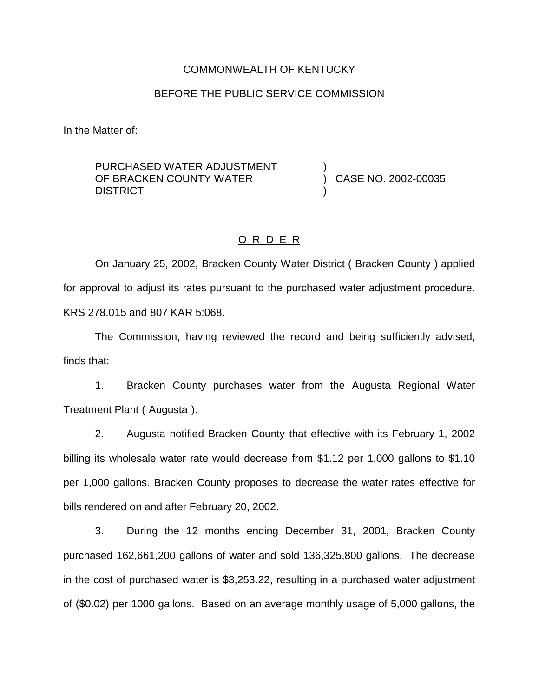#### COMMONWEALTH OF KENTUCKY

### BEFORE THE PUBLIC SERVICE COMMISSION

In the Matter of:

PURCHASED WATER ADJUSTMENT OF BRACKEN COUNTY WATER **DISTRICT** 

) CASE NO. 2002-00035

)

)

### O R D E R

On January 25, 2002, Bracken County Water District ( Bracken County ) applied for approval to adjust its rates pursuant to the purchased water adjustment procedure. KRS 278.015 and 807 KAR 5:068.

The Commission, having reviewed the record and being sufficiently advised, finds that:

1. Bracken County purchases water from the Augusta Regional Water Treatment Plant ( Augusta ).

2. Augusta notified Bracken County that effective with its February 1, 2002 billing its wholesale water rate would decrease from \$1.12 per 1,000 gallons to \$1.10 per 1,000 gallons. Bracken County proposes to decrease the water rates effective for bills rendered on and after February 20, 2002.

3. During the 12 months ending December 31, 2001, Bracken County purchased 162,661,200 gallons of water and sold 136,325,800 gallons. The decrease in the cost of purchased water is \$3,253.22, resulting in a purchased water adjustment of (\$0.02) per 1000 gallons. Based on an average monthly usage of 5,000 gallons, the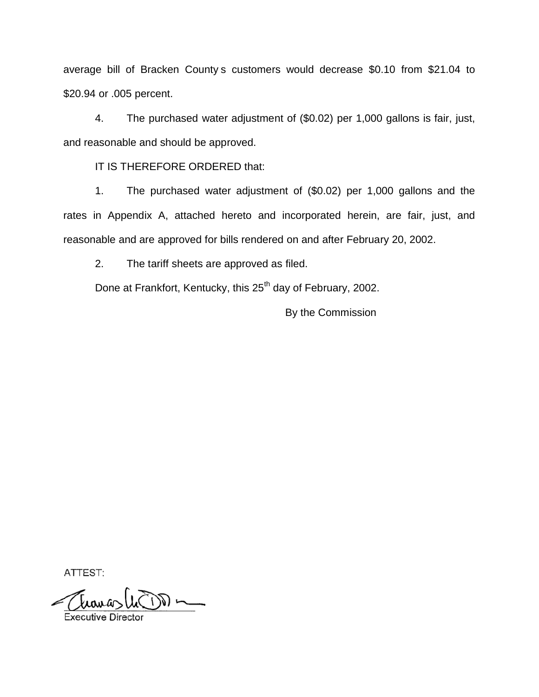average bill of Bracken County s customers would decrease \$0.10 from \$21.04 to \$20.94 or .005 percent.

4. The purchased water adjustment of (\$0.02) per 1,000 gallons is fair, just, and reasonable and should be approved.

IT IS THEREFORE ORDERED that:

1. The purchased water adjustment of (\$0.02) per 1,000 gallons and the rates in Appendix A, attached hereto and incorporated herein, are fair, just, and reasonable and are approved for bills rendered on and after February 20, 2002.

2. The tariff sheets are approved as filed.

Done at Frankfort, Kentucky, this 25<sup>th</sup> day of February, 2002.

By the Commission

ATTEST: